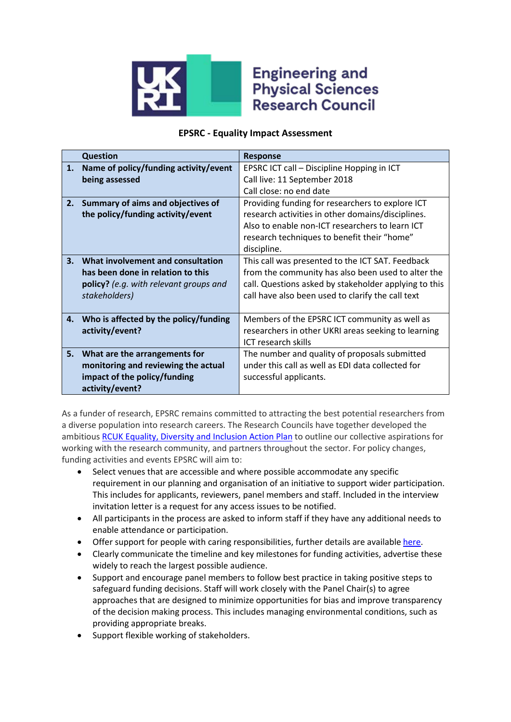

## **Engineering and Physical Sciences Research Council**

## **EPSRC - Equality Impact Assessment**

|    | <b>Question</b>                               | <b>Response</b>                                       |
|----|-----------------------------------------------|-------------------------------------------------------|
| 1. | Name of policy/funding activity/event         | EPSRC ICT call - Discipline Hopping in ICT            |
|    | being assessed                                | Call live: 11 September 2018                          |
|    |                                               | Call close: no end date                               |
| 2. | Summary of aims and objectives of             | Providing funding for researchers to explore ICT      |
|    | the policy/funding activity/event             | research activities in other domains/disciplines.     |
|    |                                               | Also to enable non-ICT researchers to learn ICT       |
|    |                                               | research techniques to benefit their "home"           |
|    |                                               | discipline.                                           |
| 3. | What involvement and consultation             | This call was presented to the ICT SAT. Feedback      |
|    | has been done in relation to this             | from the community has also been used to alter the    |
|    | <b>policy?</b> (e.g. with relevant groups and | call. Questions asked by stakeholder applying to this |
|    | stakeholders)                                 | call have also been used to clarify the call text     |
|    |                                               |                                                       |
| 4. | Who is affected by the policy/funding         | Members of the EPSRC ICT community as well as         |
|    | activity/event?                               | researchers in other UKRI areas seeking to learning   |
|    |                                               | ICT research skills                                   |
| 5. | What are the arrangements for                 | The number and quality of proposals submitted         |
|    | monitoring and reviewing the actual           | under this call as well as EDI data collected for     |
|    | impact of the policy/funding                  | successful applicants.                                |
|    | activity/event?                               |                                                       |

As a funder of research, EPSRC remains committed to attracting the best potential researchers from a diverse population into research careers. The Research Councils have together developed the ambitious [RCUK Equality, Diversity and Inclusion Action Plan](https://www.ukri.org/files/legacy/documents/actionplan2016-pdf/) to outline our collective aspirations for working with the research community, and partners throughout the sector. For policy changes, funding activities and events EPSRC will aim to:

- Select venues that are accessible and where possible accommodate any specific requirement in our planning and organisation of an initiative to support wider participation. This includes for applicants, reviewers, panel members and staff. Included in the interview invitation letter is a request for any access issues to be notified.
- All participants in the process are asked to inform staff if they have any additional needs to enable attendance or participation.
- Offer support for people with caring responsibilities, further details are available [here.](https://epsrc.ukri.org/funding/applicationprocess/basics/caringresponsibilities/)
- Clearly communicate the timeline and key milestones for funding activities, advertise these widely to reach the largest possible audience.
- Support and encourage panel members to follow best practice in taking positive steps to safeguard funding decisions. Staff will work closely with the Panel Chair(s) to agree approaches that are designed to minimize opportunities for bias and improve transparency of the decision making process. This includes managing environmental conditions, such as providing appropriate breaks.
- Support flexible working of stakeholders.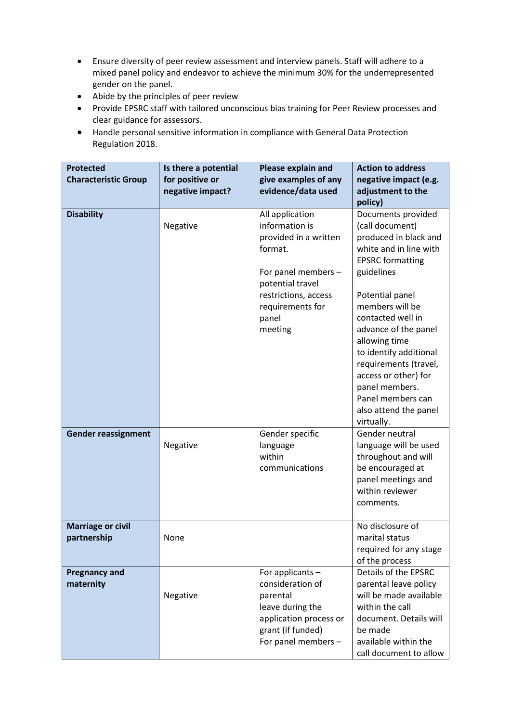- Ensure diversity of peer review assessment and interview panels. Staff will adhere to a mixed panel policy and endeavor to achieve the minimum 30% for the underrepresented gender on the panel.
- Abide by the principles of peer review
- Provide EPSRC staff with tailored unconscious bias training for Peer Review processes and clear guidance for assessors.
- Handle personal sensitive information in compliance with General Data Protection Regulation 2018.

| <b>Protected</b><br><b>Characteristic Group</b> | Is there a potential<br>for positive or<br>negative impact? | Please explain and<br>give examples of any<br>evidence/data used                                                                                                                 | <b>Action to address</b><br>negative impact (e.g.<br>adjustment to the                                                                                                                                                                                                                                                                                                           |
|-------------------------------------------------|-------------------------------------------------------------|----------------------------------------------------------------------------------------------------------------------------------------------------------------------------------|----------------------------------------------------------------------------------------------------------------------------------------------------------------------------------------------------------------------------------------------------------------------------------------------------------------------------------------------------------------------------------|
|                                                 |                                                             |                                                                                                                                                                                  | policy)                                                                                                                                                                                                                                                                                                                                                                          |
| <b>Disability</b>                               | Negative                                                    | All application<br>information is<br>provided in a written<br>format.<br>For panel members -<br>potential travel<br>restrictions, access<br>requirements for<br>panel<br>meeting | Documents provided<br>(call document)<br>produced in black and<br>white and in line with<br><b>EPSRC</b> formatting<br>guidelines<br>Potential panel<br>members will be<br>contacted well in<br>advance of the panel<br>allowing time<br>to identify additional<br>requirements (travel,<br>access or other) for<br>panel members.<br>Panel members can<br>also attend the panel |
| <b>Gender reassignment</b>                      | Negative                                                    | Gender specific<br>language<br>within<br>communications                                                                                                                          | virtually.<br>Gender neutral<br>language will be used<br>throughout and will<br>be encouraged at<br>panel meetings and<br>within reviewer<br>comments.                                                                                                                                                                                                                           |
| <b>Marriage or civil</b><br>partnership         | None                                                        |                                                                                                                                                                                  | No disclosure of<br>marital status<br>required for any stage<br>of the process                                                                                                                                                                                                                                                                                                   |
| <b>Pregnancy and</b><br>maternity               | Negative                                                    | For applicants -<br>consideration of<br>parental<br>leave during the<br>application process or<br>grant (if funded)<br>For panel members -                                       | Details of the EPSRC<br>parental leave policy<br>will be made available<br>within the call<br>document. Details will<br>be made<br>available within the<br>call document to allow                                                                                                                                                                                                |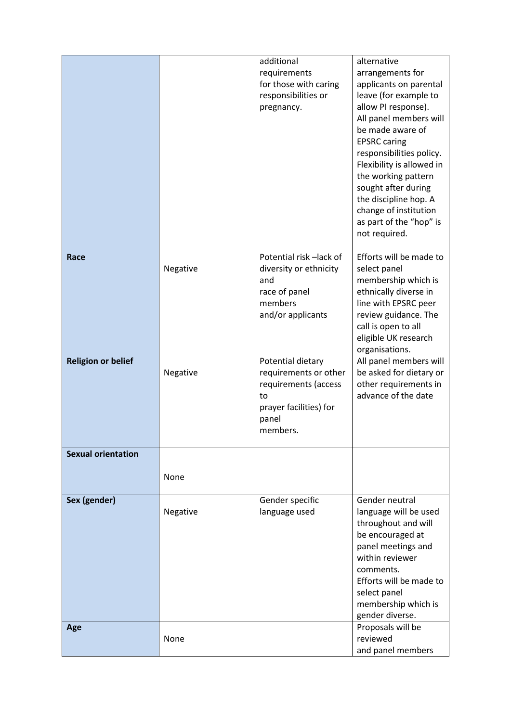|                           |          | additional                 | alternative                   |
|---------------------------|----------|----------------------------|-------------------------------|
|                           |          |                            |                               |
|                           |          | requirements               | arrangements for              |
|                           |          | for those with caring      | applicants on parental        |
|                           |          | responsibilities or        | leave (for example to         |
|                           |          | pregnancy.                 | allow PI response).           |
|                           |          |                            | All panel members will        |
|                           |          |                            | be made aware of              |
|                           |          |                            | <b>EPSRC caring</b>           |
|                           |          |                            | responsibilities policy.      |
|                           |          |                            | Flexibility is allowed in     |
|                           |          |                            | the working pattern           |
|                           |          |                            |                               |
|                           |          |                            | sought after during           |
|                           |          |                            | the discipline hop. A         |
|                           |          |                            | change of institution         |
|                           |          |                            | as part of the "hop" is       |
|                           |          |                            | not required.                 |
|                           |          |                            |                               |
| Race                      |          | Potential risk -lack of    | Efforts will be made to       |
|                           | Negative | diversity or ethnicity     | select panel                  |
|                           |          | and                        | membership which is           |
|                           |          | race of panel              | ethnically diverse in         |
|                           |          | members                    | line with EPSRC peer          |
|                           |          | and/or applicants          | review guidance. The          |
|                           |          |                            | call is open to all           |
|                           |          |                            | eligible UK research          |
|                           |          |                            | organisations.                |
| <b>Religion or belief</b> |          | Potential dietary          | All panel members will        |
|                           | Negative | requirements or other      | be asked for dietary or       |
|                           |          |                            |                               |
|                           |          |                            | other requirements in         |
|                           |          | requirements (access<br>to | advance of the date           |
|                           |          |                            |                               |
|                           |          | prayer facilities) for     |                               |
|                           |          | panel                      |                               |
|                           |          | members.                   |                               |
| <b>Sexual orientation</b> |          |                            |                               |
|                           |          |                            |                               |
|                           | None     |                            |                               |
|                           |          |                            |                               |
| Sex (gender)              |          | Gender specific            | Gender neutral                |
|                           | Negative | language used              | language will be used         |
|                           |          |                            | throughout and will           |
|                           |          |                            | be encouraged at              |
|                           |          |                            | panel meetings and            |
|                           |          |                            | within reviewer               |
|                           |          |                            | comments.                     |
|                           |          |                            | Efforts will be made to       |
|                           |          |                            | select panel                  |
|                           |          |                            | membership which is           |
|                           |          |                            | gender diverse.               |
|                           |          |                            |                               |
| Age                       | None     |                            | Proposals will be<br>reviewed |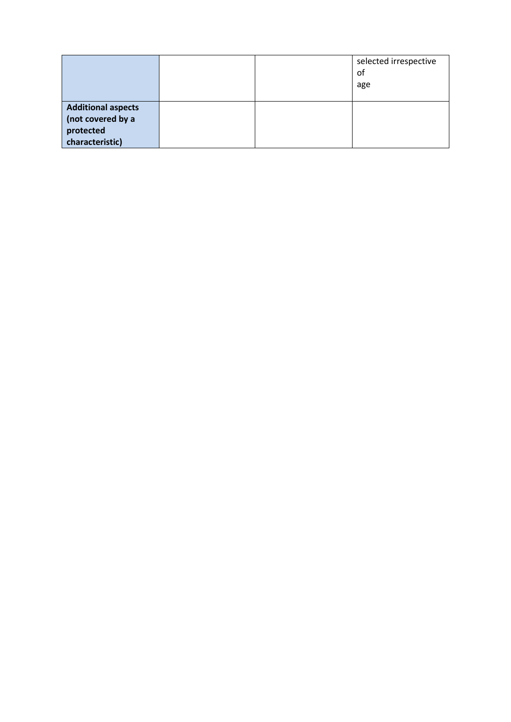|                                                                                |  | selected irrespective<br>of<br>age |
|--------------------------------------------------------------------------------|--|------------------------------------|
| <b>Additional aspects</b><br>(not covered by a<br>protected<br>characteristic) |  |                                    |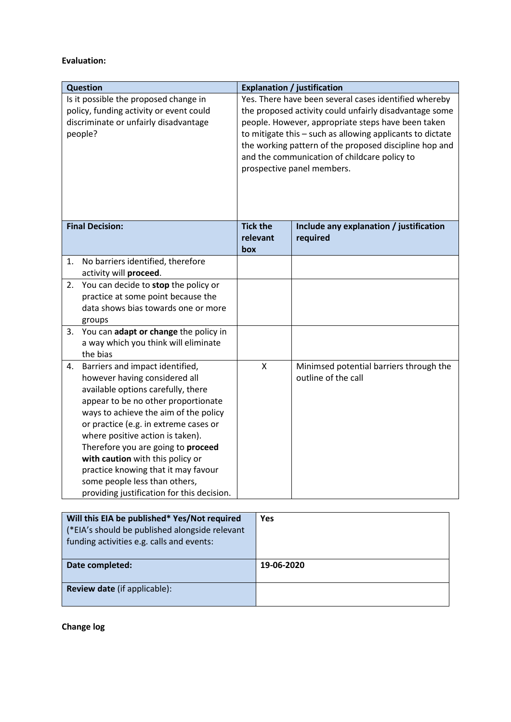## **Evaluation:**

|                                                                                                                                      | <b>Question</b>                                                                                                                                                                                                                                                                                                                                                                                                                                                     |                                                                                                                                                                                                                                                                                                                                                                                                                  |                                                                |
|--------------------------------------------------------------------------------------------------------------------------------------|---------------------------------------------------------------------------------------------------------------------------------------------------------------------------------------------------------------------------------------------------------------------------------------------------------------------------------------------------------------------------------------------------------------------------------------------------------------------|------------------------------------------------------------------------------------------------------------------------------------------------------------------------------------------------------------------------------------------------------------------------------------------------------------------------------------------------------------------------------------------------------------------|----------------------------------------------------------------|
| Is it possible the proposed change in<br>policy, funding activity or event could<br>discriminate or unfairly disadvantage<br>people? |                                                                                                                                                                                                                                                                                                                                                                                                                                                                     | <b>Explanation / justification</b><br>Yes. There have been several cases identified whereby<br>the proposed activity could unfairly disadvantage some<br>people. However, appropriate steps have been taken<br>to mitigate this - such as allowing applicants to dictate<br>the working pattern of the proposed discipline hop and<br>and the communication of childcare policy to<br>prospective panel members. |                                                                |
|                                                                                                                                      | <b>Final Decision:</b>                                                                                                                                                                                                                                                                                                                                                                                                                                              | <b>Tick the</b><br>relevant<br>box                                                                                                                                                                                                                                                                                                                                                                               | Include any explanation / justification<br>required            |
| 1.                                                                                                                                   | No barriers identified, therefore<br>activity will proceed.                                                                                                                                                                                                                                                                                                                                                                                                         |                                                                                                                                                                                                                                                                                                                                                                                                                  |                                                                |
| 2.                                                                                                                                   | You can decide to stop the policy or<br>practice at some point because the<br>data shows bias towards one or more<br>groups                                                                                                                                                                                                                                                                                                                                         |                                                                                                                                                                                                                                                                                                                                                                                                                  |                                                                |
|                                                                                                                                      | 3. You can adapt or change the policy in<br>a way which you think will eliminate<br>the bias                                                                                                                                                                                                                                                                                                                                                                        |                                                                                                                                                                                                                                                                                                                                                                                                                  |                                                                |
| 4.                                                                                                                                   | Barriers and impact identified,<br>however having considered all<br>available options carefully, there<br>appear to be no other proportionate<br>ways to achieve the aim of the policy<br>or practice (e.g. in extreme cases or<br>where positive action is taken).<br>Therefore you are going to proceed<br>with caution with this policy or<br>practice knowing that it may favour<br>some people less than others,<br>providing justification for this decision. | Χ                                                                                                                                                                                                                                                                                                                                                                                                                | Minimsed potential barriers through the<br>outline of the call |

| Will this EIA be published* Yes/Not required<br>(*EIA's should be published alongside relevant<br>funding activities e.g. calls and events: | <b>Yes</b> |
|---------------------------------------------------------------------------------------------------------------------------------------------|------------|
| Date completed:                                                                                                                             | 19-06-2020 |
| <b>Review date</b> (if applicable):                                                                                                         |            |

**Change log**